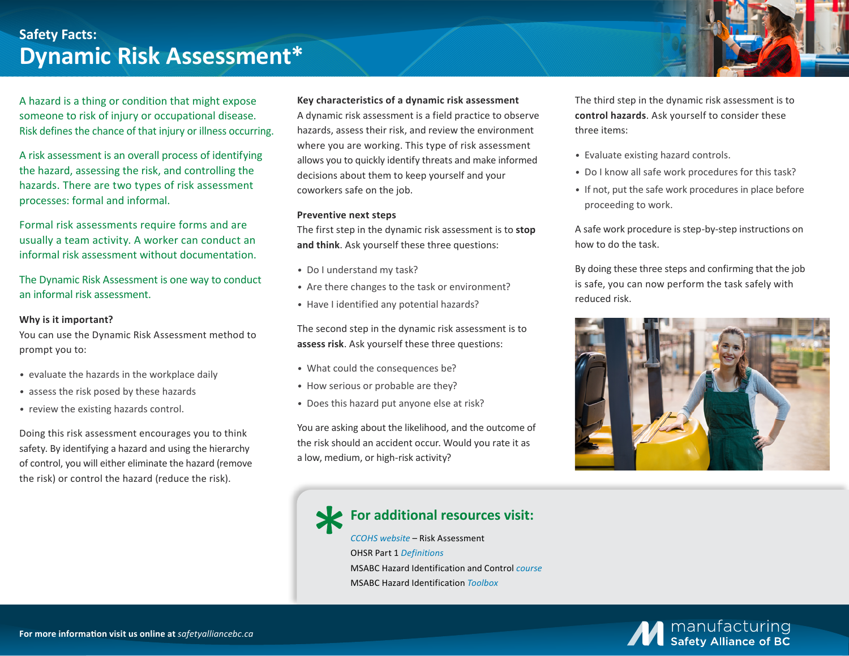### **Safety Facts: Dynamic Risk Assessment\***

A hazard is a thing or condition that might expose someone to risk of injury or occupational disease. Risk defines the chance of that injury or illness occurring.

A risk assessment is an overall process of identifying the hazard, assessing the risk, and controlling the hazards. There are two types of risk assessment processes: formal and informal.

Formal risk assessments require forms and are usually a team activity. A worker can conduct an informal risk assessment without documentation.

The Dynamic Risk Assessment is one way to conduct an informal risk assessment.

#### **Why is it important?**

You can use the Dynamic Risk Assessment method to prompt you to:

- *•* evaluate the hazards in the workplace daily
- *•* assess the risk posed by these hazards
- *•* review the existing hazards control.

Doing this risk assessment encourages you to think safety. By identifying a hazard and using the hierarchy of control, you will either eliminate the hazard (remove the risk) or control the hazard (reduce the risk).

#### **Key characteristics of a dynamic risk assessment**

A dynamic risk assessment is a field practice to observe hazards, assess their risk, and review the environment where you are working. This type of risk assessment allows you to quickly identify threats and make informed decisions about them to keep yourself and your coworkers safe on the job.

#### **Preventive next steps**

The first step in the dynamic risk assessment is to **stop and think**. Ask yourself these three questions:

- *•* Do I understand my task?
- *•* Are there changes to the task or environment?
- *•* Have I identified any potential hazards?

The second step in the dynamic risk assessment is to **assess risk**. Ask yourself these three questions:

- *•* What could the consequences be?
- *•* How serious or probable are they?
- *•* Does this hazard put anyone else at risk?

You are asking about the likelihood, and the outcome of the risk should an accident occur. Would you rate it as a low, medium, or high-risk activity?

# **For additional resources visit:**

*[CCOHS website](https://www.ccohs.ca/oshanswers/hsprograms/risk_assessment.html)* – Risk Assessment OHSR Part 1 *[Definitions](https://www.worksafebc.com/en/law-policy/occupational-health-safety/searchable-ohs-regulation/ohs-regulation/part-01-definitions)*  MSABC Hazard Identification and Control *[course](https://safetyalliancebc.ca/course/hazard-identification-and-control/)*  MSABC Hazard Identification *[Toolbox](https://safetyalliancebc.ca/toolbox-talk/hazard-identification/)*

The third step in the dynamic risk assessment is to **control hazards**. Ask yourself to consider these three items:

- *•* Evaluate existing hazard controls.
- *•* Do I know all safe work procedures for this task?
- *•* If not, put the safe work procedures in place before proceeding to work.

A safe work procedure is step-by-step instructions on how to do the task.

By doing these three steps and confirming that the job is safe, you can now perform the task safely with reduced risk.